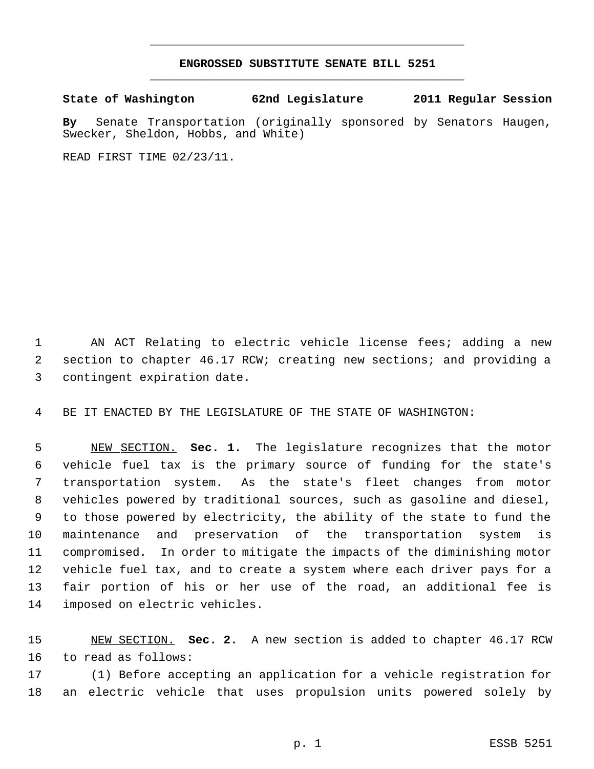## **ENGROSSED SUBSTITUTE SENATE BILL 5251** \_\_\_\_\_\_\_\_\_\_\_\_\_\_\_\_\_\_\_\_\_\_\_\_\_\_\_\_\_\_\_\_\_\_\_\_\_\_\_\_\_\_\_\_\_

\_\_\_\_\_\_\_\_\_\_\_\_\_\_\_\_\_\_\_\_\_\_\_\_\_\_\_\_\_\_\_\_\_\_\_\_\_\_\_\_\_\_\_\_\_

**State of Washington 62nd Legislature 2011 Regular Session**

**By** Senate Transportation (originally sponsored by Senators Haugen, Swecker, Sheldon, Hobbs, and White)

READ FIRST TIME 02/23/11.

 AN ACT Relating to electric vehicle license fees; adding a new section to chapter 46.17 RCW; creating new sections; and providing a contingent expiration date.

BE IT ENACTED BY THE LEGISLATURE OF THE STATE OF WASHINGTON:

 NEW SECTION. **Sec. 1.** The legislature recognizes that the motor vehicle fuel tax is the primary source of funding for the state's transportation system. As the state's fleet changes from motor vehicles powered by traditional sources, such as gasoline and diesel, to those powered by electricity, the ability of the state to fund the maintenance and preservation of the transportation system is compromised. In order to mitigate the impacts of the diminishing motor vehicle fuel tax, and to create a system where each driver pays for a fair portion of his or her use of the road, an additional fee is imposed on electric vehicles.

 NEW SECTION. **Sec. 2.** A new section is added to chapter 46.17 RCW to read as follows:

 (1) Before accepting an application for a vehicle registration for an electric vehicle that uses propulsion units powered solely by